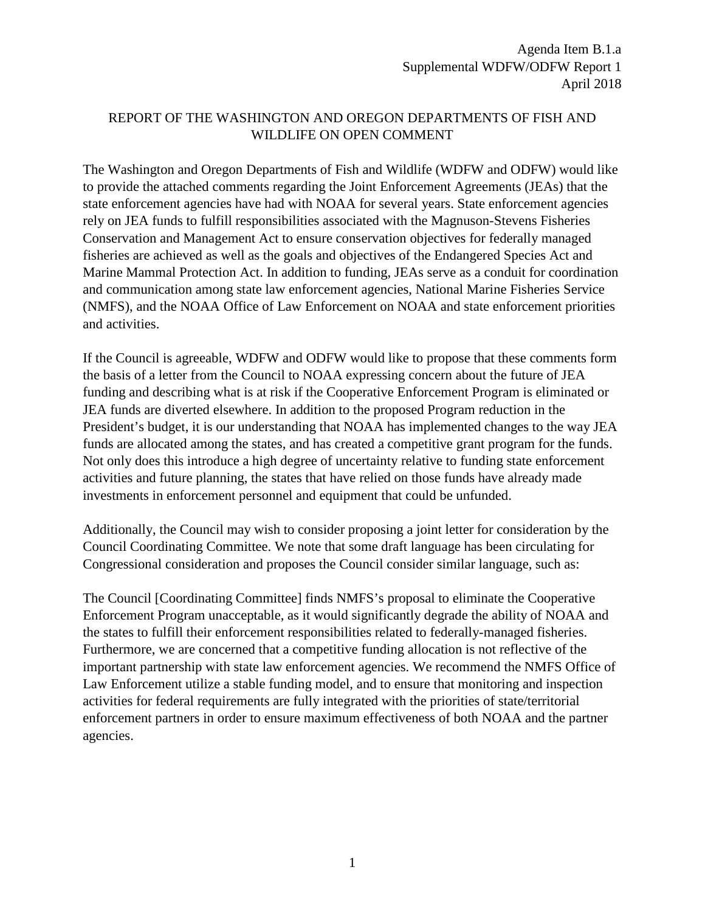# REPORT OF THE WASHINGTON AND OREGON DEPARTMENTS OF FISH AND WILDLIFE ON OPEN COMMENT

The Washington and Oregon Departments of Fish and Wildlife (WDFW and ODFW) would like to provide the attached comments regarding the Joint Enforcement Agreements (JEAs) that the state enforcement agencies have had with NOAA for several years. State enforcement agencies rely on JEA funds to fulfill responsibilities associated with the Magnuson-Stevens Fisheries Conservation and Management Act to ensure conservation objectives for federally managed fisheries are achieved as well as the goals and objectives of the Endangered Species Act and Marine Mammal Protection Act. In addition to funding, JEAs serve as a conduit for coordination and communication among state law enforcement agencies, National Marine Fisheries Service (NMFS), and the NOAA Office of Law Enforcement on NOAA and state enforcement priorities and activities.

If the Council is agreeable, WDFW and ODFW would like to propose that these comments form the basis of a letter from the Council to NOAA expressing concern about the future of JEA funding and describing what is at risk if the Cooperative Enforcement Program is eliminated or JEA funds are diverted elsewhere. In addition to the proposed Program reduction in the President's budget, it is our understanding that NOAA has implemented changes to the way JEA funds are allocated among the states, and has created a competitive grant program for the funds. Not only does this introduce a high degree of uncertainty relative to funding state enforcement activities and future planning, the states that have relied on those funds have already made investments in enforcement personnel and equipment that could be unfunded.

Additionally, the Council may wish to consider proposing a joint letter for consideration by the Council Coordinating Committee. We note that some draft language has been circulating for Congressional consideration and proposes the Council consider similar language, such as:

The Council [Coordinating Committee] finds NMFS's proposal to eliminate the Cooperative Enforcement Program unacceptable, as it would significantly degrade the ability of NOAA and the states to fulfill their enforcement responsibilities related to federally-managed fisheries. Furthermore, we are concerned that a competitive funding allocation is not reflective of the important partnership with state law enforcement agencies. We recommend the NMFS Office of Law Enforcement utilize a stable funding model, and to ensure that monitoring and inspection activities for federal requirements are fully integrated with the priorities of state/territorial enforcement partners in order to ensure maximum effectiveness of both NOAA and the partner agencies.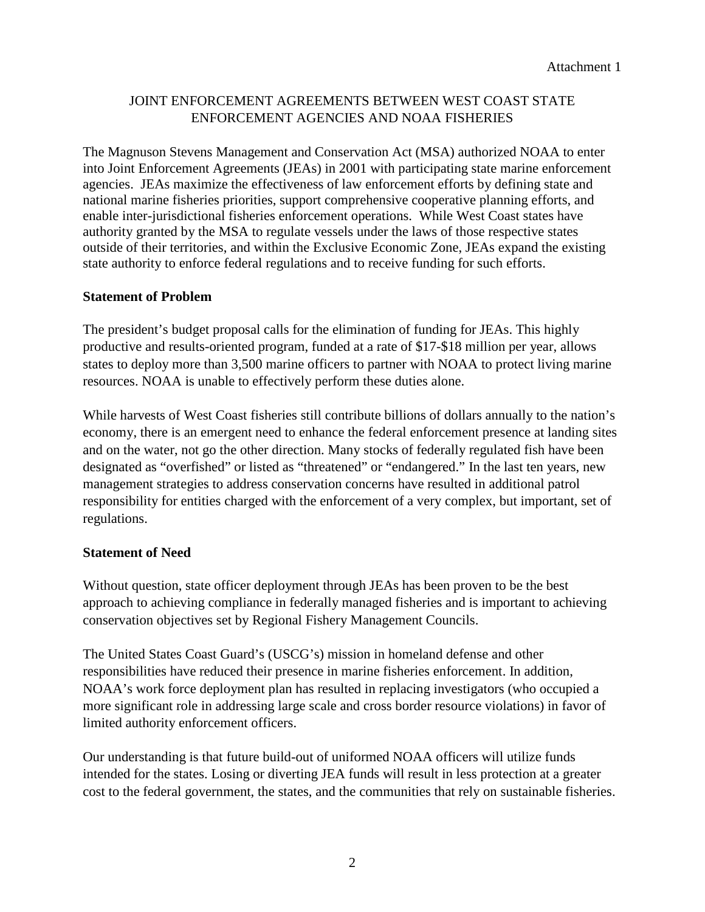# JOINT ENFORCEMENT AGREEMENTS BETWEEN WEST COAST STATE ENFORCEMENT AGENCIES AND NOAA FISHERIES

The Magnuson Stevens Management and Conservation Act (MSA) authorized NOAA to enter into Joint Enforcement Agreements (JEAs) in 2001 with participating state marine enforcement agencies. JEAs maximize the effectiveness of law enforcement efforts by defining state and national marine fisheries priorities, support comprehensive cooperative planning efforts, and enable inter-jurisdictional fisheries enforcement operations. While West Coast states have authority granted by the MSA to regulate vessels under the laws of those respective states outside of their territories, and within the Exclusive Economic Zone, JEAs expand the existing state authority to enforce federal regulations and to receive funding for such efforts.

#### **Statement of Problem**

The president's budget proposal calls for the elimination of funding for JEAs. This highly productive and results-oriented program, funded at a rate of \$17-\$18 million per year, allows states to deploy more than 3,500 marine officers to partner with NOAA to protect living marine resources. NOAA is unable to effectively perform these duties alone.

While harvests of West Coast fisheries still contribute billions of dollars annually to the nation's economy, there is an emergent need to enhance the federal enforcement presence at landing sites and on the water, not go the other direction. Many stocks of federally regulated fish have been designated as "overfished" or listed as "threatened" or "endangered." In the last ten years, new management strategies to address conservation concerns have resulted in additional patrol responsibility for entities charged with the enforcement of a very complex, but important, set of regulations.

#### **Statement of Need**

Without question, state officer deployment through JEAs has been proven to be the best approach to achieving compliance in federally managed fisheries and is important to achieving conservation objectives set by Regional Fishery Management Councils.

The United States Coast Guard's (USCG's) mission in homeland defense and other responsibilities have reduced their presence in marine fisheries enforcement. In addition, NOAA's work force deployment plan has resulted in replacing investigators (who occupied a more significant role in addressing large scale and cross border resource violations) in favor of limited authority enforcement officers.

Our understanding is that future build-out of uniformed NOAA officers will utilize funds intended for the states. Losing or diverting JEA funds will result in less protection at a greater cost to the federal government, the states, and the communities that rely on sustainable fisheries.